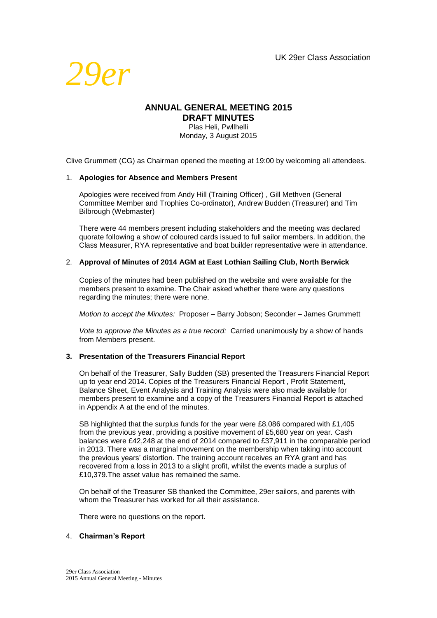

## **ANNUAL GENERAL MEETING 2015 DRAFT MINUTES**

Plas Heli, Pwllhelli Monday, 3 August 2015

Clive Grummett (CG) as Chairman opened the meeting at 19:00 by welcoming all attendees.

#### 1. **Apologies for Absence and Members Present**

Apologies were received from Andy Hill (Training Officer) , Gill Methven (General Committee Member and Trophies Co-ordinator), Andrew Budden (Treasurer) and Tim Bilbrough (Webmaster)

There were 44 members present including stakeholders and the meeting was declared quorate following a show of coloured cards issued to full sailor members. In addition, the Class Measurer, RYA representative and boat builder representative were in attendance.

#### 2. **Approval of Minutes of 2014 AGM at East Lothian Sailing Club, North Berwick**

Copies of the minutes had been published on the website and were available for the members present to examine. The Chair asked whether there were any questions regarding the minutes; there were none.

*Motion to accept the Minutes:* Proposer – Barry Jobson; Seconder – James Grummett

*Vote to approve the Minutes as a true record:* Carried unanimously by a show of hands from Members present.

#### **3. Presentation of the Treasurers Financial Report**

On behalf of the Treasurer, Sally Budden (SB) presented the Treasurers Financial Report up to year end 2014. Copies of the Treasurers Financial Report , Profit Statement, Balance Sheet, Event Analysis and Training Analysis were also made available for members present to examine and a copy of the Treasurers Financial Report is attached in Appendix A at the end of the minutes.

SB highlighted that the surplus funds for the year were £8,086 compared with £1,405 from the previous year, providing a positive movement of £5,680 year on year. Cash balances were £42,248 at the end of 2014 compared to £37,911 in the comparable period in 2013. There was a marginal movement on the membership when taking into account the previous years' distortion. The training account receives an RYA grant and has recovered from a loss in 2013 to a slight profit, whilst the events made a surplus of £10,379.The asset value has remained the same.

On behalf of the Treasurer SB thanked the Committee, 29er sailors, and parents with whom the Treasurer has worked for all their assistance.

There were no questions on the report.

#### 4. **Chairman's Report**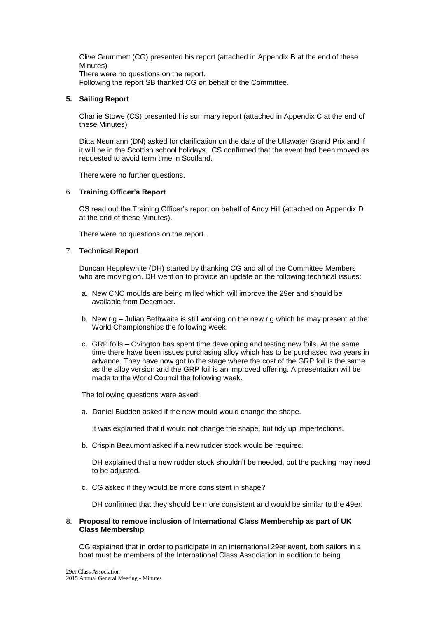Clive Grummett (CG) presented his report (attached in Appendix B at the end of these Minutes) There were no questions on the report.

Following the report SB thanked CG on behalf of the Committee.

#### **5. Sailing Report**

Charlie Stowe (CS) presented his summary report (attached in Appendix C at the end of these Minutes)

Ditta Neumann (DN) asked for clarification on the date of the Ullswater Grand Prix and if it will be in the Scottish school holidays. CS confirmed that the event had been moved as requested to avoid term time in Scotland.

There were no further questions.

#### 6. **Training Officer's Report**

CS read out the Training Officer's report on behalf of Andy Hill (attached on Appendix D at the end of these Minutes).

There were no questions on the report.

#### 7. **Technical Report**

Duncan Hepplewhite (DH) started by thanking CG and all of the Committee Members who are moving on. DH went on to provide an update on the following technical issues:

- a. New CNC moulds are being milled which will improve the 29er and should be available from December.
- b. New rig Julian Bethwaite is still working on the new rig which he may present at the World Championships the following week.
- c. GRP foils Ovington has spent time developing and testing new foils. At the same time there have been issues purchasing alloy which has to be purchased two years in advance. They have now got to the stage where the cost of the GRP foil is the same as the alloy version and the GRP foil is an improved offering. A presentation will be made to the World Council the following week.

The following questions were asked:

a. Daniel Budden asked if the new mould would change the shape.

It was explained that it would not change the shape, but tidy up imperfections.

b. Crispin Beaumont asked if a new rudder stock would be required.

DH explained that a new rudder stock shouldn't be needed, but the packing may need to be adjusted.

c. CG asked if they would be more consistent in shape?

DH confirmed that they should be more consistent and would be similar to the 49er.

#### 8. **Proposal to remove inclusion of International Class Membership as part of UK Class Membership**

CG explained that in order to participate in an international 29er event, both sailors in a boat must be members of the International Class Association in addition to being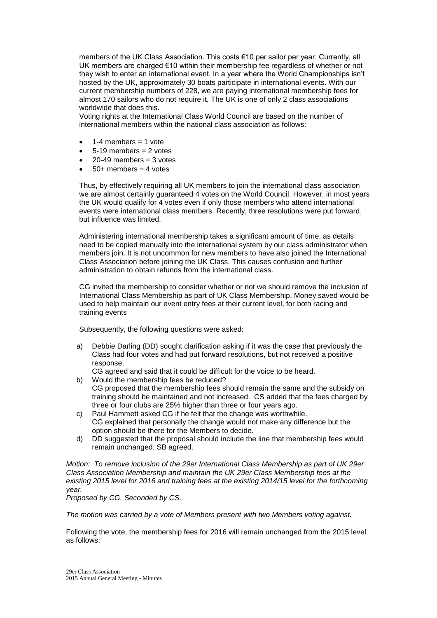members of the UK Class Association. This costs €10 per sailor per year. Currently, all UK members are charged €10 within their membership fee regardless of whether or not they wish to enter an international event. In a year where the World Championships isn't hosted by the UK, approximately 30 boats participate in international events. With our current membership numbers of 228, we are paying international membership fees for almost 170 sailors who do not require it. The UK is one of only 2 class associations worldwide that does this.

Voting rights at the International Class World Council are based on the number of international members within the national class association as follows:

- 1-4 members  $= 1$  vote
- $5-19$  members = 2 votes
- $20-49$  members = 3 votes
- $50+$  members = 4 votes

Thus, by effectively requiring all UK members to join the international class association we are almost certainly guaranteed 4 votes on the World Council. However, in most years the UK would qualify for 4 votes even if only those members who attend international events were international class members. Recently, three resolutions were put forward, but influence was limited.

Administering international membership takes a significant amount of time, as details need to be copied manually into the international system by our class administrator when members join. It is not uncommon for new members to have also joined the International Class Association before joining the UK Class. This causes confusion and further administration to obtain refunds from the international class.

CG invited the membership to consider whether or not we should remove the inclusion of International Class Membership as part of UK Class Membership. Money saved would be used to help maintain our event entry fees at their current level, for both racing and training events

Subsequently, the following questions were asked:

a) Debbie Darling (DD) sought clarification asking if it was the case that previously the Class had four votes and had put forward resolutions, but not received a positive response.

CG agreed and said that it could be difficult for the voice to be heard.

- b) Would the membership fees be reduced? CG proposed that the membership fees should remain the same and the subsidy on training should be maintained and not increased. CS added that the fees charged by three or four clubs are 25% higher than three or four years ago.
- c) Paul Hammett asked CG if he felt that the change was worthwhile. CG explained that personally the change would not make any difference but the option should be there for the Members to decide.
- d) DD suggested that the proposal should include the line that membership fees would remain unchanged. SB agreed.

*Motion: To remove inclusion of the 29er International Class Membership as part of UK 29er Class Association Membership and maintain the UK 29er Class Membership fees at the existing 2015 level for 2016 and training fees at the existing 2014/15 level for the forthcoming year.* 

*Proposed by CG. Seconded by CS.*

*The motion was carried by a vote of Members present with two Members voting against.*

Following the vote, the membership fees for 2016 will remain unchanged from the 2015 level as follows: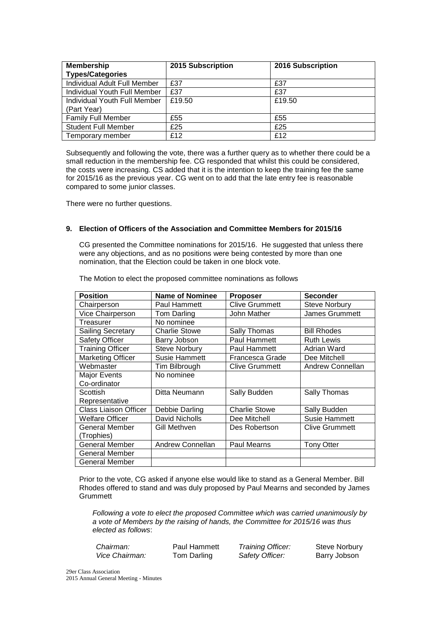| <b>Membership</b><br><b>Types/Categories</b> | 2015 Subscription | 2016 Subscription |
|----------------------------------------------|-------------------|-------------------|
| Individual Adult Full Member                 | £37               | £37               |
| Individual Youth Full Member                 | £37               | £37               |
| Individual Youth Full Member<br>(Part Year)  | £19.50            | £19.50            |
| <b>Family Full Member</b>                    | £55               | £55               |
| <b>Student Full Member</b>                   | £25               | £25               |
| Temporary member                             | £12               | £12               |

Subsequently and following the vote, there was a further query as to whether there could be a small reduction in the membership fee. CG responded that whilst this could be considered, the costs were increasing. CS added that it is the intention to keep the training fee the same for 2015/16 as the previous year. CG went on to add that the late entry fee is reasonable compared to some junior classes.

There were no further questions.

#### **9. Election of Officers of the Association and Committee Members for 2015/16**

CG presented the Committee nominations for 2015/16. He suggested that unless there were any objections, and as no positions were being contested by more than one nomination, that the Election could be taken in one block vote.

| <b>Position</b>              | Name of Nominee      | <b>Proposer</b>       | <b>Seconder</b>         |
|------------------------------|----------------------|-----------------------|-------------------------|
| Chairperson                  | Paul Hammett         | <b>Clive Grummett</b> | <b>Steve Norbury</b>    |
| Vice Chairperson             | Tom Darling          | John Mather           | James Grummett          |
| Treasurer                    | No nominee           |                       |                         |
| Sailing Secretary            | <b>Charlie Stowe</b> | Sally Thomas          | <b>Bill Rhodes</b>      |
| Safety Officer               | Barry Jobson         | Paul Hammett          | <b>Ruth Lewis</b>       |
| <b>Training Officer</b>      | <b>Steve Norbury</b> | Paul Hammett          | Adrian Ward             |
| <b>Marketing Officer</b>     | Susie Hammett        | Francesca Grade       | Dee Mitchell            |
| Webmaster                    | Tim Bilbrough        | <b>Clive Grummett</b> | <b>Andrew Connellan</b> |
| <b>Major Events</b>          | No nominee           |                       |                         |
| Co-ordinator                 |                      |                       |                         |
| Scottish                     | Ditta Neumann        | Sally Budden          | Sally Thomas            |
| Representative               |                      |                       |                         |
| <b>Class Liaison Officer</b> | Debbie Darling       | <b>Charlie Stowe</b>  | Sally Budden            |
| Welfare Officer              | David Nicholls       | Dee Mitchell          | <b>Susie Hammett</b>    |
| General Member               | Gill Methven         | Des Robertson         | <b>Clive Grummett</b>   |
| (Trophies)                   |                      |                       |                         |
| <b>General Member</b>        | Andrew Connellan     | Paul Mearns           | <b>Tony Otter</b>       |
| General Member               |                      |                       |                         |
| <b>General Member</b>        |                      |                       |                         |

The Motion to elect the proposed committee nominations as follows

Prior to the vote, CG asked if anyone else would like to stand as a General Member. Bill Rhodes offered to stand and was duly proposed by Paul Mearns and seconded by James **Grummett** 

*Following a vote to elect the proposed Committee which was carried unanimously by a vote of Members by the raising of hands, the Committee for 2015/16 was thus elected as follows*:

| Chairman:      |  |
|----------------|--|
| Vice Chairman. |  |

Paul Hammett *Training Officer:* Steve Norbury *Vice Chairman:* Tom Darling *Safety Officer:* Barry Jobson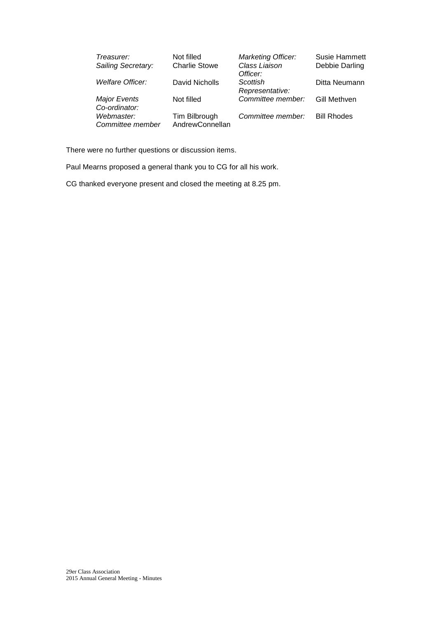| Treasurer:              | Not filled           | <b>Marketing Officer:</b> | Susie Hammett      |
|-------------------------|----------------------|---------------------------|--------------------|
| Sailing Secretary:      | <b>Charlie Stowe</b> | Class Liaison             | Debbie Darling     |
|                         |                      | Officer:                  |                    |
| <b>Welfare Officer:</b> | David Nicholls       | Scottish                  | Ditta Neumann      |
|                         |                      | Representative:           |                    |
| <b>Major Events</b>     | Not filled           | Committee member:         | Gill Methven       |
| Co-ordinator:           |                      |                           |                    |
| Webmaster:              | Tim Bilbrough        | Committee member:         | <b>Bill Rhodes</b> |
| Committee member        | AndrewConnellan      |                           |                    |

There were no further questions or discussion items.

Paul Mearns proposed a general thank you to CG for all his work.

CG thanked everyone present and closed the meeting at 8.25 pm.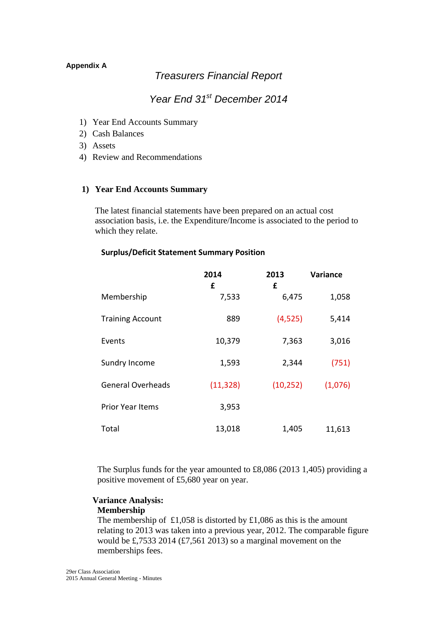## **Appendix A**

# *Treasurers Financial Report*

# *Year End 31st December 2014*

- 1) Year End Accounts Summary
- 2) Cash Balances
- 3) Assets
- 4) Review and Recommendations

## **1) Year End Accounts Summary**

The latest financial statements have been prepared on an actual cost association basis, i.e. the Expenditure/Income is associated to the period to which they relate.

## **Surplus/Deficit Statement Summary Position**

|                          | 2014<br>£ | 2013<br>£ | <b>Variance</b> |
|--------------------------|-----------|-----------|-----------------|
| Membership               | 7,533     | 6,475     | 1,058           |
| <b>Training Account</b>  | 889       | (4,525)   | 5,414           |
| Events                   | 10,379    | 7,363     | 3,016           |
| Sundry Income            | 1,593     | 2,344     | (751)           |
| <b>General Overheads</b> | (11, 328) | (10, 252) | (1,076)         |
| <b>Prior Year Items</b>  | 3,953     |           |                 |
| Total                    | 13,018    | 1,405     | 11,613          |

The Surplus funds for the year amounted to £8,086 (2013 1,405) providing a positive movement of £5,680 year on year.

## **Variance Analysis:**

## **Membership**

The membership of £1,058 is distorted by £1,086 as this is the amount relating to 2013 was taken into a previous year, 2012. The comparable figure would be £,7533 2014 (£7,561 2013) so a marginal movement on the memberships fees.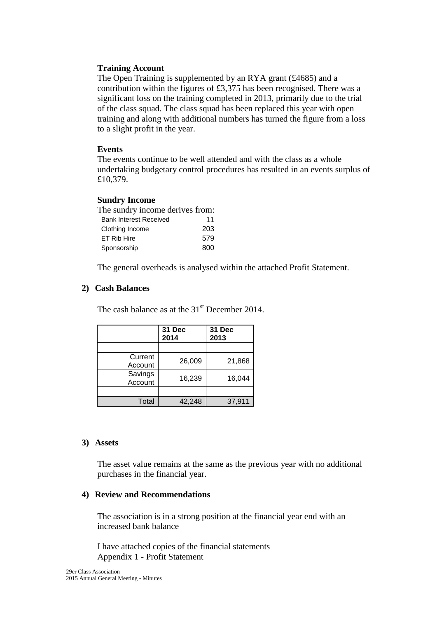## **Training Account**

The Open Training is supplemented by an RYA grant (£4685) and a contribution within the figures of £3,375 has been recognised. There was a significant loss on the training completed in 2013, primarily due to the trial of the class squad. The class squad has been replaced this year with open training and along with additional numbers has turned the figure from a loss to a slight profit in the year.

## **Events**

The events continue to be well attended and with the class as a whole undertaking budgetary control procedures has resulted in an events surplus of £10,379.

## **Sundry Income**

| The sundry income derives from: |     |
|---------------------------------|-----|
| <b>Bank Interest Received</b>   | 11  |
| Clothing Income                 | 203 |
| ET Rib Hire                     | 579 |
| Sponsorship                     | 800 |

The general overheads is analysed within the attached Profit Statement.

## **2) Cash Balances**

The cash balance as at the  $31<sup>st</sup>$  December 2014.

|                    | 31 Dec<br>2014 | 31 Dec<br>2013 |
|--------------------|----------------|----------------|
|                    |                |                |
| Current<br>Account | 26,009         | 21,868         |
| Savings<br>Account | 16,239         | 16,044         |
|                    |                |                |
| Total              | 42,248         | 37,911         |

## **3) Assets**

The asset value remains at the same as the previous year with no additional purchases in the financial year.

## **4) Review and Recommendations**

The association is in a strong position at the financial year end with an increased bank balance

I have attached copies of the financial statements Appendix 1 - Profit Statement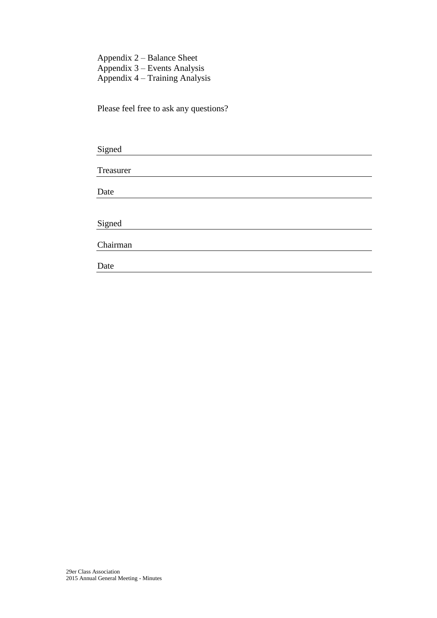Appendix 2 – Balance Sheet Appendix 3 – Events Analysis Appendix 4 – Training Analysis

Please feel free to ask any questions?

| Treasurer |  |  |  |
|-----------|--|--|--|
| Date      |  |  |  |
|           |  |  |  |
| Signed    |  |  |  |
| Chairman  |  |  |  |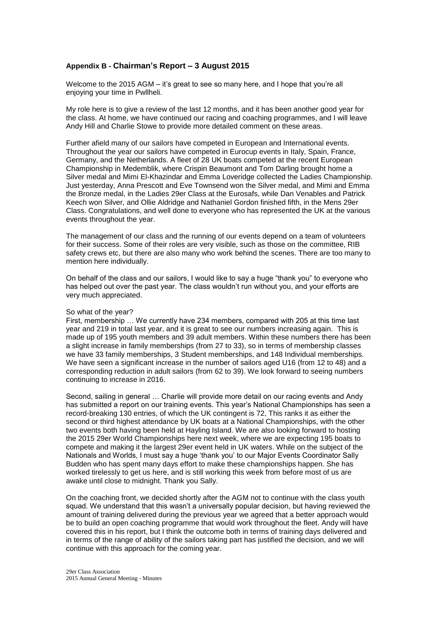## **Appendix B - Chairman's Report – 3 August 2015**

Welcome to the 2015 AGM – it's great to see so many here, and I hope that you're all enjoying your time in Pwllheli.

My role here is to give a review of the last 12 months, and it has been another good year for the class. At home, we have continued our racing and coaching programmes, and I will leave Andy Hill and Charlie Stowe to provide more detailed comment on these areas.

Further afield many of our sailors have competed in European and International events. Throughout the year our sailors have competed in Eurocup events in Italy, Spain, France, Germany, and the Netherlands. A fleet of 28 UK boats competed at the recent European Championship in Medemblik, where Crispin Beaumont and Tom Darling brought home a Silver medal and Mimi El-Khazindar and Emma Loveridge collected the Ladies Championship. Just yesterday, Anna Prescott and Eve Townsend won the Silver medal, and Mimi and Emma the Bronze medal, in the Ladies 29er Class at the Eurosafs, while Dan Venables and Patrick Keech won Silver, and Ollie Aldridge and Nathaniel Gordon finished fifth, in the Mens 29er Class. Congratulations, and well done to everyone who has represented the UK at the various events throughout the year.

The management of our class and the running of our events depend on a team of volunteers for their success. Some of their roles are very visible, such as those on the committee, RIB safety crews etc, but there are also many who work behind the scenes. There are too many to mention here individually.

On behalf of the class and our sailors, I would like to say a huge "thank you" to everyone who has helped out over the past year. The class wouldn't run without you, and your efforts are very much appreciated.

#### So what of the year?

First, membership … We currently have 234 members, compared with 205 at this time last year and 219 in total last year, and it is great to see our numbers increasing again. This is made up of 195 youth members and 39 adult members. Within these numbers there has been a slight increase in family memberships (from 27 to 33), so in terms of membership classes we have 33 family memberships, 3 Student memberships, and 148 Individual memberships. We have seen a significant increase in the number of sailors aged U16 (from 12 to 48) and a corresponding reduction in adult sailors (from 62 to 39). We look forward to seeing numbers continuing to increase in 2016.

Second, sailing in general … Charlie will provide more detail on our racing events and Andy has submitted a report on our training events. This year's National Championships has seen a record-breaking 130 entries, of which the UK contingent is 72, This ranks it as either the second or third highest attendance by UK boats at a National Championships, with the other two events both having been held at Hayling Island. We are also looking forward to hosting the 2015 29er World Championships here next week, where we are expecting 195 boats to compete and making it the largest 29er event held in UK waters. While on the subject of the Nationals and Worlds, I must say a huge 'thank you' to our Major Events Coordinator Sally Budden who has spent many days effort to make these championships happen. She has worked tirelessly to get us here, and is still working this week from before most of us are awake until close to midnight. Thank you Sally.

On the coaching front, we decided shortly after the AGM not to continue with the class youth squad. We understand that this wasn't a universally popular decision, but having reviewed the amount of training delivered during the previous year we agreed that a better approach would be to build an open coaching programme that would work throughout the fleet. Andy will have covered this in his report, but I think the outcome both in terms of training days delivered and in terms of the range of ability of the sailors taking part has justified the decision, and we will continue with this approach for the coming year.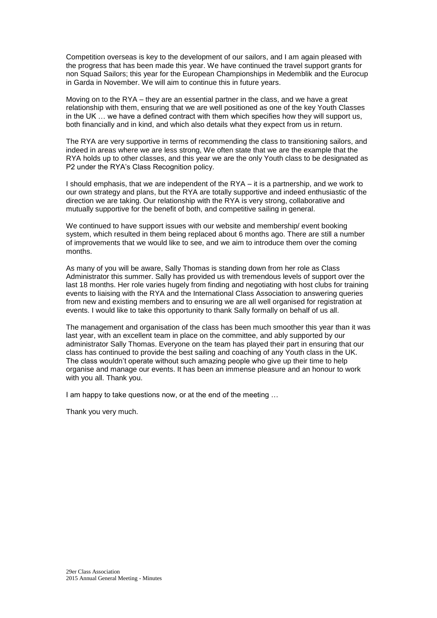Competition overseas is key to the development of our sailors, and I am again pleased with the progress that has been made this year. We have continued the travel support grants for non Squad Sailors; this year for the European Championships in Medemblik and the Eurocup in Garda in November. We will aim to continue this in future years.

Moving on to the RYA – they are an essential partner in the class, and we have a great relationship with them, ensuring that we are well positioned as one of the key Youth Classes in the UK … we have a defined contract with them which specifies how they will support us, both financially and in kind, and which also details what they expect from us in return.

The RYA are very supportive in terms of recommending the class to transitioning sailors, and indeed in areas where we are less strong, We often state that we are the example that the RYA holds up to other classes, and this year we are the only Youth class to be designated as P2 under the RYA's Class Recognition policy.

I should emphasis, that we are independent of the RYA – it is a partnership, and we work to our own strategy and plans, but the RYA are totally supportive and indeed enthusiastic of the direction we are taking. Our relationship with the RYA is very strong, collaborative and mutually supportive for the benefit of both, and competitive sailing in general.

We continued to have support issues with our website and membership/ event booking system, which resulted in them being replaced about 6 months ago. There are still a number of improvements that we would like to see, and we aim to introduce them over the coming months.

As many of you will be aware, Sally Thomas is standing down from her role as Class Administrator this summer. Sally has provided us with tremendous levels of support over the last 18 months. Her role varies hugely from finding and negotiating with host clubs for training events to liaising with the RYA and the International Class Association to answering queries from new and existing members and to ensuring we are all well organised for registration at events. I would like to take this opportunity to thank Sally formally on behalf of us all.

The management and organisation of the class has been much smoother this year than it was last year, with an excellent team in place on the committee, and ably supported by our administrator Sally Thomas. Everyone on the team has played their part in ensuring that our class has continued to provide the best sailing and coaching of any Youth class in the UK. The class wouldn't operate without such amazing people who give up their time to help organise and manage our events. It has been an immense pleasure and an honour to work with you all. Thank you.

I am happy to take questions now, or at the end of the meeting …

Thank you very much.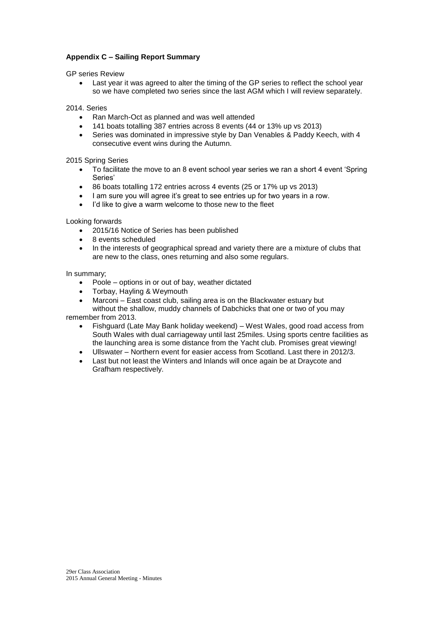## **Appendix C – Sailing Report Summary**

GP series Review

 Last year it was agreed to alter the timing of the GP series to reflect the school year so we have completed two series since the last AGM which I will review separately.

2014. Series

- Ran March-Oct as planned and was well attended
- 141 boats totalling 387 entries across 8 events (44 or 13% up vs 2013)
- Series was dominated in impressive style by Dan Venables & Paddy Keech, with 4 consecutive event wins during the Autumn.

2015 Spring Series

- To facilitate the move to an 8 event school year series we ran a short 4 event 'Spring Series'
- 86 boats totalling 172 entries across 4 events (25 or 17% up vs 2013)
- I am sure you will agree it's great to see entries up for two years in a row.
- I'd like to give a warm welcome to those new to the fleet

Looking forwards

- 2015/16 Notice of Series has been published
- 8 events scheduled
- In the interests of geographical spread and variety there are a mixture of clubs that are new to the class, ones returning and also some regulars.

In summary;

- Poole options in or out of bay, weather dictated
- Torbay, Hayling & Weymouth
- Marconi East coast club, sailing area is on the Blackwater estuary but without the shallow, muddy channels of Dabchicks that one or two of you may

remember from 2013.

- Fishguard (Late May Bank holiday weekend) West Wales, good road access from South Wales with dual carriageway until last 25miles. Using sports centre facilities as the launching area is some distance from the Yacht club. Promises great viewing!
- Ullswater Northern event for easier access from Scotland. Last there in 2012/3.
- Last but not least the Winters and Inlands will once again be at Draycote and Grafham respectively.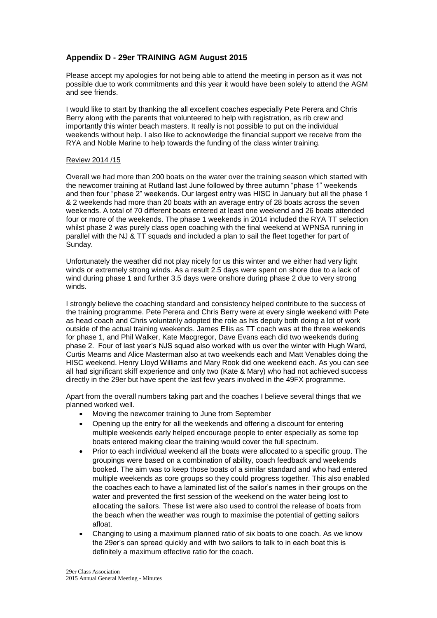## **Appendix D - 29er TRAINING AGM August 2015**

Please accept my apologies for not being able to attend the meeting in person as it was not possible due to work commitments and this year it would have been solely to attend the AGM and see friends.

I would like to start by thanking the all excellent coaches especially Pete Perera and Chris Berry along with the parents that volunteered to help with registration, as rib crew and importantly this winter beach masters. It really is not possible to put on the individual weekends without help. I also like to acknowledge the financial support we receive from the RYA and Noble Marine to help towards the funding of the class winter training.

#### Review 2014 /15

Overall we had more than 200 boats on the water over the training season which started with the newcomer training at Rutland last June followed by three autumn "phase 1" weekends and then four "phase 2" weekends. Our largest entry was HISC in January but all the phase 1 & 2 weekends had more than 20 boats with an average entry of 28 boats across the seven weekends. A total of 70 different boats entered at least one weekend and 26 boats attended four or more of the weekends. The phase 1 weekends in 2014 included the RYA TT selection whilst phase 2 was purely class open coaching with the final weekend at WPNSA running in parallel with the NJ & TT squads and included a plan to sail the fleet together for part of Sunday.

Unfortunately the weather did not play nicely for us this winter and we either had very light winds or extremely strong winds. As a result 2.5 days were spent on shore due to a lack of wind during phase 1 and further 3.5 days were onshore during phase 2 due to very strong winds.

I strongly believe the coaching standard and consistency helped contribute to the success of the training programme. Pete Perera and Chris Berry were at every single weekend with Pete as head coach and Chris voluntarily adopted the role as his deputy both doing a lot of work outside of the actual training weekends. James Ellis as TT coach was at the three weekends for phase 1, and Phil Walker, Kate Macgregor, Dave Evans each did two weekends during phase 2. Four of last year's NJS squad also worked with us over the winter with Hugh Ward, Curtis Mearns and Alice Masterman also at two weekends each and Matt Venables doing the HISC weekend. Henry Lloyd Williams and Mary Rook did one weekend each. As you can see all had significant skiff experience and only two (Kate & Mary) who had not achieved success directly in the 29er but have spent the last few years involved in the 49FX programme.

Apart from the overall numbers taking part and the coaches I believe several things that we planned worked well.

- Moving the newcomer training to June from September
- Opening up the entry for all the weekends and offering a discount for entering multiple weekends early helped encourage people to enter especially as some top boats entered making clear the training would cover the full spectrum.
- Prior to each individual weekend all the boats were allocated to a specific group. The groupings were based on a combination of ability, coach feedback and weekends booked. The aim was to keep those boats of a similar standard and who had entered multiple weekends as core groups so they could progress together. This also enabled the coaches each to have a laminated list of the sailor's names in their groups on the water and prevented the first session of the weekend on the water being lost to allocating the sailors. These list were also used to control the release of boats from the beach when the weather was rough to maximise the potential of getting sailors afloat.
- Changing to using a maximum planned ratio of six boats to one coach. As we know the 29er's can spread quickly and with two sailors to talk to in each boat this is definitely a maximum effective ratio for the coach.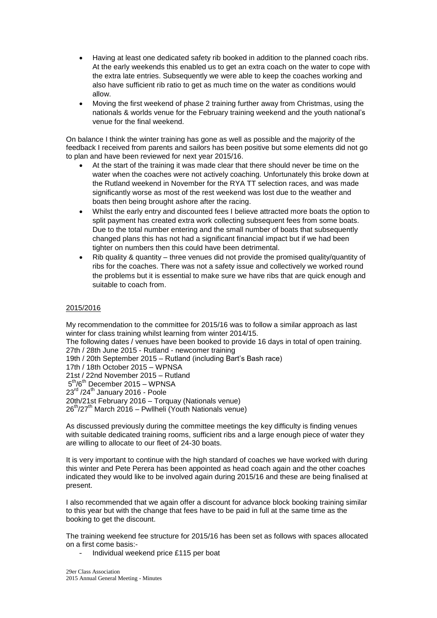- Having at least one dedicated safety rib booked in addition to the planned coach ribs. At the early weekends this enabled us to get an extra coach on the water to cope with the extra late entries. Subsequently we were able to keep the coaches working and also have sufficient rib ratio to get as much time on the water as conditions would allow.
- Moving the first weekend of phase 2 training further away from Christmas, using the nationals & worlds venue for the February training weekend and the youth national's venue for the final weekend.

On balance I think the winter training has gone as well as possible and the majority of the feedback I received from parents and sailors has been positive but some elements did not go to plan and have been reviewed for next year 2015/16.

- At the start of the training it was made clear that there should never be time on the water when the coaches were not actively coaching. Unfortunately this broke down at the Rutland weekend in November for the RYA TT selection races, and was made significantly worse as most of the rest weekend was lost due to the weather and boats then being brought ashore after the racing.
- Whilst the early entry and discounted fees I believe attracted more boats the option to split payment has created extra work collecting subsequent fees from some boats. Due to the total number entering and the small number of boats that subsequently changed plans this has not had a significant financial impact but if we had been tighter on numbers then this could have been detrimental.
- Rib quality & quantity three venues did not provide the promised quality/quantity of ribs for the coaches. There was not a safety issue and collectively we worked round the problems but it is essential to make sure we have ribs that are quick enough and suitable to coach from.

#### 2015/2016

My recommendation to the committee for 2015/16 was to follow a similar approach as last winter for class training whilst learning from winter 2014/15. The following dates / venues have been booked to provide 16 days in total of open training. 27th / 28th June 2015 - Rutland - newcomer training

19th / 20th September 2015 – Rutland (including Bart's Bash race)

17th / 18th October 2015 – WPNSA

21st / 22nd November 2015 – Rutland

5<sup>th</sup>/6<sup>th</sup> December 2015 – WPNSA

 $23<sup>rd</sup>$  /24<sup>th</sup> January 2016 - Poole

20th/21st February 2016 – Torquay (Nationals venue)

 $26<sup>th</sup>/27<sup>th</sup>$  March 2016 – Pwllheli (Youth Nationals venue)

As discussed previously during the committee meetings the key difficulty is finding venues with suitable dedicated training rooms, sufficient ribs and a large enough piece of water they are willing to allocate to our fleet of 24-30 boats.

It is very important to continue with the high standard of coaches we have worked with during this winter and Pete Perera has been appointed as head coach again and the other coaches indicated they would like to be involved again during 2015/16 and these are being finalised at present.

I also recommended that we again offer a discount for advance block booking training similar to this year but with the change that fees have to be paid in full at the same time as the booking to get the discount.

The training weekend fee structure for 2015/16 has been set as follows with spaces allocated on a first come basis:-

- Individual weekend price £115 per boat